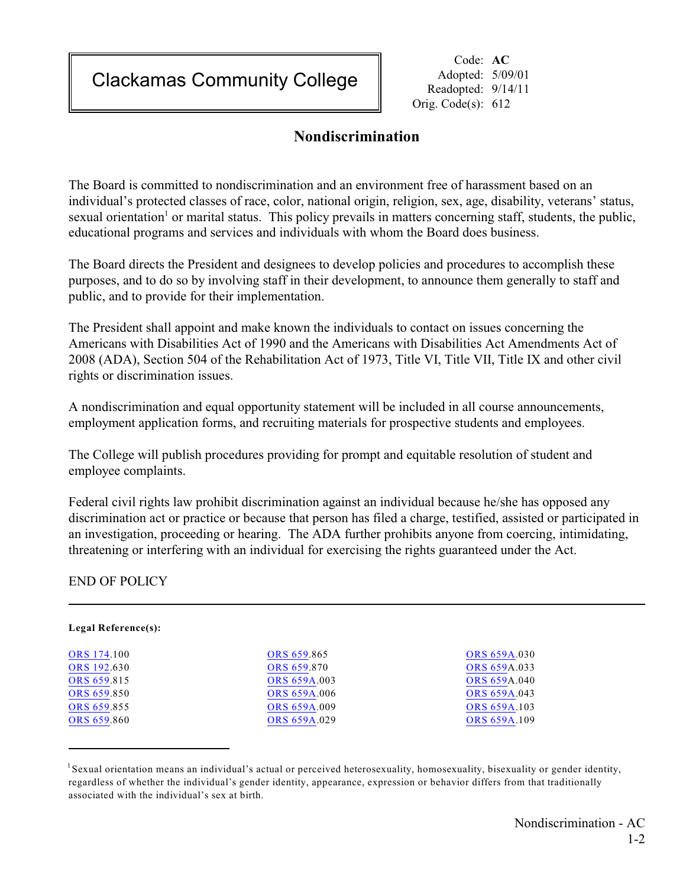Clackamas Community College

Code: **AC** Adopted: 5/09/01 Readopted: 9/14/11 Orig. Code(s): 612

## **Nondiscrimination**

The Board is committed to nondiscrimination and an environment free of harassment based on an individual's protected classes of race, color, national origin, religion, sex, age, disability, veterans' status, sexual orientation<sup>1</sup> or marital status. This policy prevails in matters concerning staff, students, the public, educational programs and services and individuals with whom the Board does business.

The Board directs the President and designees to develop policies and procedures to accomplish these purposes, and to do so by involving staff in their development, to announce them generally to staff and public, and to provide for their implementation.

The President shall appoint and make known the individuals to contact on issues concerning the Americans with Disabilities Act of 1990 and the Americans with Disabilities Act Amendments Act of 2008 (ADA), Section 504 of the Rehabilitation Act of 1973, Title VI, Title VII, Title IX and other civil rights or discrimination issues.

A nondiscrimination and equal opportunity statement will be included in all course announcements, employment application forms, and recruiting materials for prospective students and employees.

The College will publish procedures providing for prompt and equitable resolution of student and employee complaints.

Federal civil rights law prohibit discrimination against an individual because he/she has opposed any discrimination act or practice or because that person has filed a charge, testified, assisted or participated in an investigation, proceeding or hearing. The ADA further prohibits anyone from coercing, intimidating, threatening or interfering with an individual for exercising the rights guaranteed under the Act.

END OF POLICY

| Legal Reference(s): |                     |                     |
|---------------------|---------------------|---------------------|
| <b>ORS</b> 174.100  | ORS 659.865         | <b>ORS 659A.030</b> |
| ORS 192.630         | ORS 659.870         | <b>ORS 659A.033</b> |
| ORS 659.815         | ORS 659A.003        | <b>ORS 659A.040</b> |
| ORS 659.850         | <b>ORS 659A.006</b> | ORS 659A.043        |
| ORS 659.855         | <b>ORS 659A.009</b> | ORS 659A.103        |
| ORS 659.860         | ORS 659A.029        | ORS 659A.109        |

 $1$ Sexual orientation means an individual's actual or perceived heterosexuality, homosexuality, bisexuality or gender identity, regardless of whether the individual's gender identity, appearance, expression or behavior differs from that traditionally associated with the individual's sex at birth.